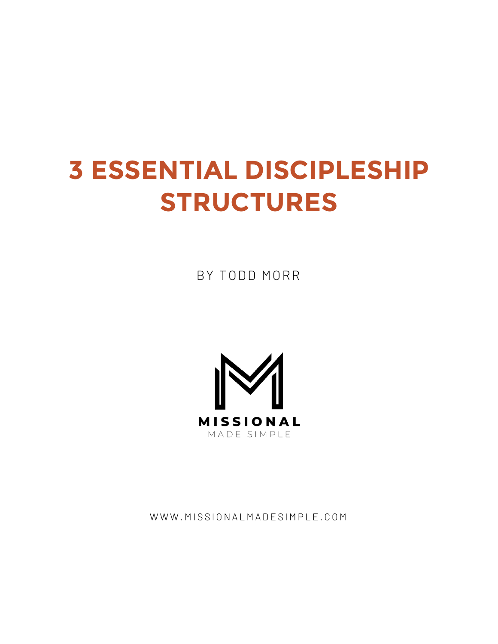# **3 ESSENTIAL DISCIPLESHIP STRUCTURES**

BY TODD MORR



WWW.MISSIONALMADESIMPLE.COM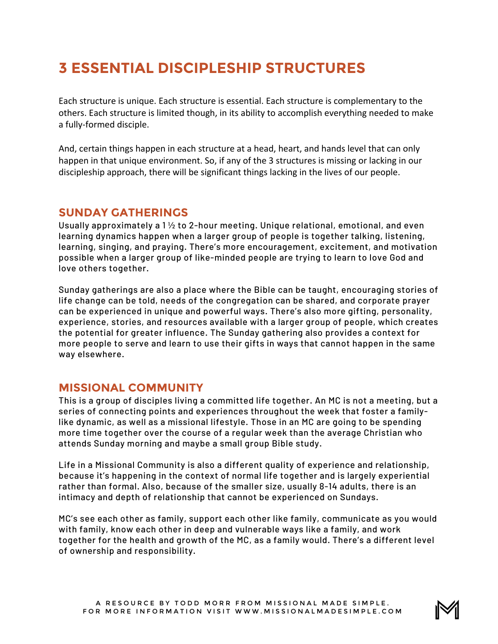# **3 ESSENTIAL DISCIPLESHIP STRUCTURES**

Each structure is unique. Each structure is essential. Each structure is complementary to the others. Each structure is limited though, in its ability to accomplish everything needed to make a fully-formed disciple.

And, certain things happen in each structure at a head, heart, and hands level that can only happen in that unique environment. So, if any of the 3 structures is missing or lacking in our discipleship approach, there will be significant things lacking in the lives of our people.

#### **SUNDAY GATHERINGS**

Usually approximately a  $1\frac{1}{2}$  to 2-hour meeting. Unique relational, emotional, and even learning dynamics happen when a larger group of people is together talking, listening, learning, singing, and praying. There's more encouragement, excitement, and motivation possible when a larger group of like-minded people are trying to learn to love God and love others together.

Sunday gatherings are also a place where the Bible can be taught, encouraging stories of life change can be told, needs of the congregation can be shared, and corporate prayer can be experienced in unique and powerful ways. There's also more gifting, personality, experience, stories, and resources available with a larger group of people, which creates the potential for greater influence. The Sunday gathering also provides a context for more people to serve and learn to use their gifts in ways that cannot happen in the same way elsewhere.

## **MISSIONAL COMMUNITY**

This is a group of disciples living a committed life together. An MC is not a meeting, but a series of connecting points and experiences throughout the week that foster a familylike dynamic, as well as a missional lifestyle. Those in an MC are going to be spending more time together over the course of a regular week than the average Christian who attends Sunday morning and maybe a small group Bible study.

Life in a Missional Community is also a different quality of experience and relationship, because it's happening in the context of normal life together and is largely experiential rather than formal. Also, because of the smaller size, usually 8-14 adults, there is an intimacy and depth of relationship that cannot be experienced on Sundays.

MC's see each other as family, support each other like family, communicate as you would with family, know each other in deep and vulnerable ways like a family, and work together for the health and growth of the MC, as a family would. There's a different level of ownership and responsibility.

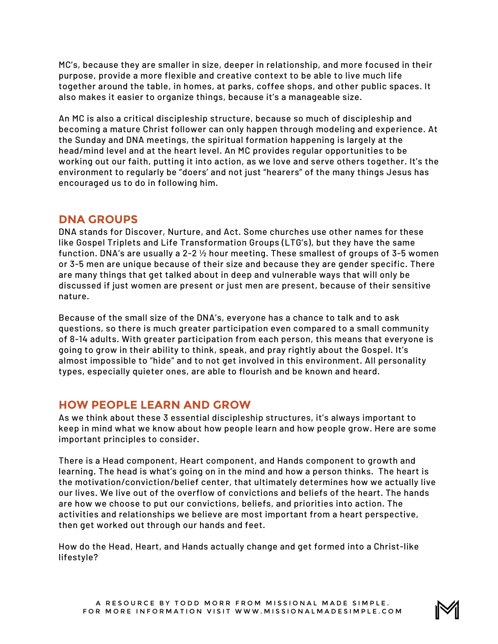MC's, because they are smaller in size, deeper in relationship, and more focused in their purpose, provide a more flexible and creative context to be able to live much life together around the table, in homes, at parks, coffee shops, and other public spaces. It also makes it easier to organize things, because it's a manageable size.

An MC is also a critical discipleship structure, because so much of discipleship and becoming a mature Christ follower can only happen through modeling and experience. At the Sunday and DNA meetings, the spiritual formation happening is largely at the head/mind level and at the heart level. An MC provides regular opportunities to be working out our faith, putting it into action, as we love and serve others together. It's the environment to regularly be "doers' and not just "hearers" of the many things Jesus has encouraged us to do in following him.

## **DNA GROUPS**

DNA stands for Discover, Nurture, and Act. Some churches use other names for these like Gospel Triplets and Life Transformation Groups (LTG's), but they have the same function. DNA's are usually a 2-2  $\frac{1}{2}$  hour meeting. These smallest of groups of 3-5 women or 3-5 men are unique because of their size and because they are gender specific. There are many things that get talked about in deep and vulnerable ways that will only be discussed if just women are present or just men are present, because of their sensitive nature.

Because of the small size of the DNA's, everyone has a chance to talk and to ask questions, so there is much greater participation even compared to a small community of 8-14 adults. With greater participation from each person, this means that everyone is going to grow in their ability to think, speak, and pray rightly about the Gospel. It's almost impossible to "hide" and to not get involved in this environment. All personality types, especially quieter ones, are able to flourish and be known and heard.

#### **HOW PEOPLE LEARN AND GROW**

As we think about these 3 essential discipleship structures, it's always important to keep in mind what we know about how people learn and how people grow. Here are some important principles to consider.

There is a Head component, Heart component, and Hands component to growth and learning. The head is what's going on in the mind and how a person thinks. The heart is the motivation/conviction/belief center, that ultimately determines how we actually live our lives. We live out of the overflow of convictions and beliefs of the heart. The hands are how we choose to put our convictions, beliefs, and priorities into action. The activities and relationships we believe are most important from a heart perspective, then get worked out through our hands and feet.

How do the Head, Heart, and Hands actually change and get formed into a Christ-like lifestyle?